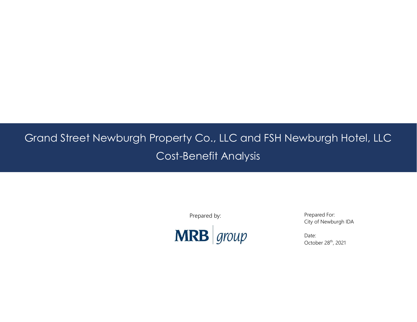# Grand Street Newburgh Property Co., LLC and FSH Newburgh Hotel, LLC Cost-Benefit Analysis

Prepared by:



Prepared For: City of Newburgh IDA

Date: October 28<sup>th</sup>, 2021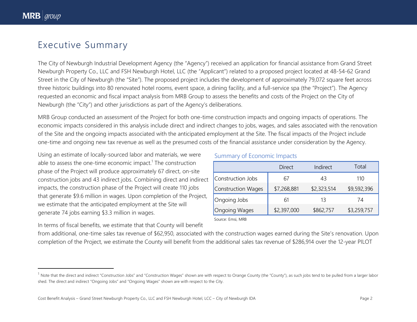$\overline{\phantom{a}}$ 

# Executive Summary

The City of Newburgh Industrial Development Agency (the "Agency") received an application for financial assistance from Grand Street Newburgh Property Co., LLC and FSH Newburgh Hotel, LLC (the "Applicant") related to a proposed project located at 48-54-62 Grand Street in the City of Newburgh (the "Site"). The proposed project includes the development of approximately 79,072 square feet across three historic buildings into 80 renovated hotel rooms, event space, a dining facility, and a full-service spa (the "Project"). The Agency requested an economic and fiscal impact analysis from MRB Group to assess the benefits and costs of the Project on the City of Newburgh (the "City") and other jurisdictions as part of the Agency's deliberations.

MRB Group conducted an assessment of the Project for both one-time construction impacts and ongoing impacts of operations. The economic impacts considered in this analysis include direct and indirect changes to jobs, wages, and sales associated with the renovation of the Site and the ongoing impacts associated with the anticipated employment at the Site. The fiscal impacts of the Project include one-time and ongoing new tax revenue as well as the presumed costs of the financial assistance under consideration by the Agency.

Using an estimate of locally-sourced labor and materials, we were able to assess the one-time economic impact.<sup>1</sup> The construction phase of the Project will produce approximately 67 direct, on-site construction jobs and 43 indirect jobs. Combining direct and indirect impacts, the construction phase of the Project will create 110 jobs that generate \$9.6 million in wages. Upon completion of the Project, we estimate that the anticipated employment at the Site will generate 74 jobs earning \$3.3 million in wages.

#### In terms of fiscal benefits, we estimate that that County will benefit

#### Summary of Economic Impacts

| Direct      | Indirect    | Total       |
|-------------|-------------|-------------|
| 67          | 43          | 110         |
| \$7,268,881 | \$2,323,514 | \$9,592,396 |
| 61          | 13          | 74          |
| \$2,397,000 | \$862,757   | \$3,259,757 |
|             |             |             |

Source: Emsi, MRB

from additional, one-time sales tax revenue of \$62,950, associated with the construction wages earned during the Site's renovation. Upon completion of the Project, we estimate the County will benefit from the additional sales tax revenue of \$286,914 over the 12-year PILOT

<sup>&</sup>lt;sup>1</sup> Note that the direct and indirect "Construction Jobs" and "Construction Wages" shown are with respect to Orange County (the "County"), as such jobs tend to be pulled from a larger labor shed. The direct and indirect "Ongoing Jobs" and "Ongoing Wages" shown are with respect to the City.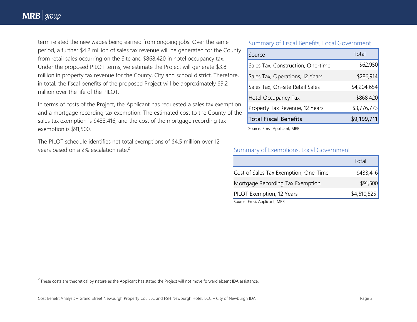$\overline{a}$ 

term related the new wages being earned from ongoing jobs. Over the same period, a further \$4.2 million of sales tax revenue will be generated for the County from retail sales occurring on the Site and \$868,420 in hotel occupancy tax. Under the proposed PILOT terms, we estimate the Project will generate \$3.8 million in property tax revenue for the County, City and school district. Therefore, in total, the fiscal benefits of the proposed Project will be approximately \$9.2 million over the life of the PILOT.

In terms of costs of the Project, the Applicant has requested a sales tax exemption and a mortgage recording tax exemption. The estimated cost to the County of the sales tax exemption is \$433,416, and the cost of the mortgage recording tax exemption is \$91,500.

The PILOT schedule identifies net total exemptions of \$4.5 million over 12 years based on a 2% escalation rate.<sup>2</sup>

#### Summary of Fiscal Benefits, Local Government

| Source                            | Total       |
|-----------------------------------|-------------|
| Sales Tax, Construction, One-time | \$62,950    |
| Sales Tax, Operations, 12 Years   | \$286,914   |
| Sales Tax, On-site Retail Sales   | \$4,204,654 |
| Hotel Occupancy Tax               | \$868,420   |
| Property Tax Revenue, 12 Years    | \$3,776,773 |
| <b>Total Fiscal Benefits</b>      | \$9,199,711 |

Source: Emsi, Applicant, MRB

#### Summary of Exemptions, Local Government

|                                       | Total       |
|---------------------------------------|-------------|
| Cost of Sales Tax Exemption, One-Time | \$433,416   |
| Mortgage Recording Tax Exemption      | \$91,500    |
| <b>PILOT</b> Exemption, 12 Years      | \$4,510,525 |

Source: Emsi, Applicant, MRB

 $^2$  These costs are theoretical by nature as the Applicant has stated the Project will not move forward absent IDA assistance.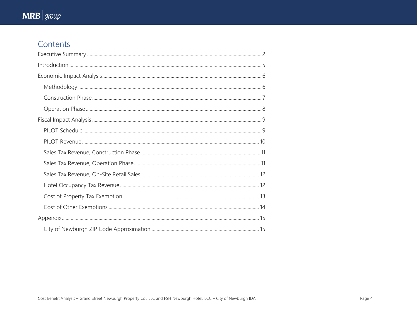# Contents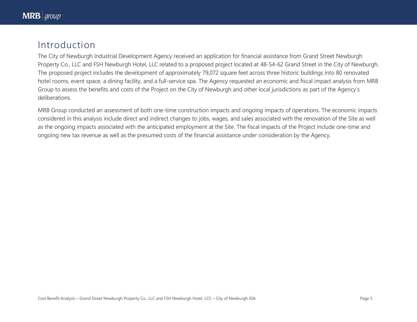# Introduction

The City of Newburgh Industrial Development Agency received an application for financial assistance from Grand Street Newburgh Property Co., LLC and FSH Newburgh Hotel, LLC related to a proposed project located at 48-54-62 Grand Street in the City of Newburgh. The proposed project includes the development of approximately 79,072 square feet across three historic buildings into 80 renovated hotel rooms, event space, a dining facility, and a full-service spa. The Agency requested an economic and fiscal impact analysis from MRB Group to assess the benefits and costs of the Project on the City of Newburgh and other local jurisdictions as part of the Agency's deliberations.

MRB Group conducted an assessment of both one-time construction impacts and ongoing impacts of operations. The economic impacts considered in this analysis include direct and indirect changes to jobs, wages, and sales associated with the renovation of the Site as well as the ongoing impacts associated with the anticipated employment at the Site. The fiscal impacts of the Project include one-time and ongoing new tax revenue as well as the presumed costs of the financial assistance under consideration by the Agency.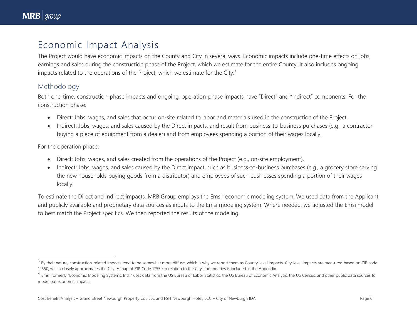$\overline{\phantom{a}}$ 

# Economic Impact Analysis

The Project would have economic impacts on the County and City in several ways. Economic impacts include one-time effects on jobs, earnings and sales during the construction phase of the Project, which we estimate for the entire County. It also includes ongoing impacts related to the operations of the Project, which we estimate for the City.<sup>3</sup>

### Methodology

Both one-time, construction-phase impacts and ongoing, operation-phase impacts have "Direct" and "Indirect" components. For the construction phase:

- Direct: Jobs, wages, and sales that occur on-site related to labor and materials used in the construction of the Project.
- Indirect: Jobs, wages, and sales caused by the Direct impacts, and result from business-to-business purchases (e.g., a contractor buying a piece of equipment from a dealer) and from employees spending a portion of their wages locally.

For the operation phase:

- Direct: Jobs, wages, and sales created from the operations of the Project (e.g., on-site employment).
- Indirect: Jobs, wages, and sales caused by the Direct impact, such as business-to-business purchases (e.g., a grocery store serving the new households buying goods from a distributor) and employees of such businesses spending a portion of their wages locally.

To estimate the Direct and Indirect impacts, MRB Group employs the Emsi<sup>4</sup> economic modeling system. We used data from the Applicant and publicly available and proprietary data sources as inputs to the Emsi modeling system. Where needed, we adjusted the Emsi model to best match the Project specifics. We then reported the results of the modeling.

 $^3$  By their nature, construction-related impacts tend to be somewhat more diffuse, which is why we report them as County-level impacts. City-level impacts are measured based on ZIP code 12550, which closely approximates the City. A map of ZIP Code 12550 in relation to the City's boundaries is included in the Appendix.

<sup>&</sup>lt;sup>4</sup> Emsi, formerly "Economic Modeling Systems, Intl.," uses data from the US Bureau of Labor Statistics, the US Bureau of Economic Analysis, the US Census, and other public data sources to model out economic impacts.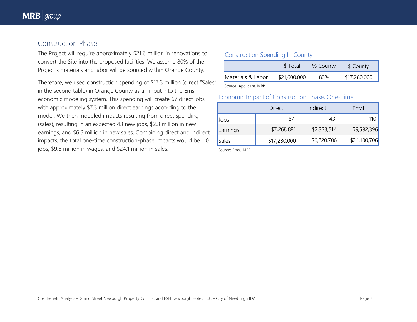### Construction Phase

The Project will require approximately \$21.6 million in renovations to convert the Site into the proposed facilities. We assume 80% of the Project's materials and labor will be sourced within Orange County.

Therefore, we used construction spending of \$17.3 million (direct "Sales" in the second table) in Orange County as an input into the Emsi economic modeling system. This spending will create 67 direct jobs with approximately \$7.3 million direct earnings according to the model. We then modeled impacts resulting from direct spending (sales), resulting in an expected 43 new jobs, \$2.3 million in new earnings, and \$6.8 million in new sales. Combining direct and indirect impacts, the total one-time construction-phase impacts would be 110 jobs, \$9.6 million in wages, and \$24.1 million in sales.

#### Construction Spending In County

|                       | <b>S</b> Total | % County | \$ County    |
|-----------------------|----------------|----------|--------------|
| Materials & Labor     | \$21,600,000   | 80%      | \$17,280,000 |
| Course Applicant MADD |                |          |              |

Source: Applicant, MRB

#### Economic Impact of Construction Phase, One-Time

|          | Direct       | Indirect    | Total        |
|----------|--------------|-------------|--------------|
| Jobs     | 61           | 43          |              |
| Earnings | \$7,268,881  | \$2,323,514 | \$9,592,396  |
| Sales    | \$17,280,000 | \$6,820,706 | \$24,100,706 |

Source: Emsi, MRB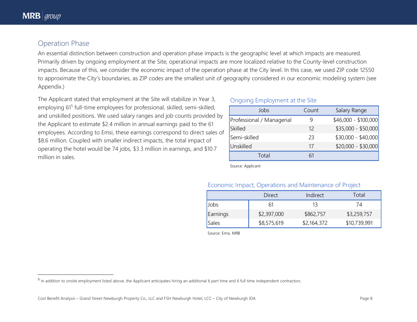$\overline{a}$ 

## Operation Phase

An essential distinction between construction and operation phase impacts is the geographic level at which impacts are measured. Primarily driven by ongoing employment at the Site, operational impacts are more localized relative to the County-level construction impacts. Because of this, we consider the economic impact of the operation phase at the City level. In this case, we used ZIP code 12550 to approximate the City's boundaries, as ZIP codes are the smallest unit of geography considered in our economic modeling system (see Appendix.)

The Applicant stated that employment at the Site will stabilize in Year 3, employing 61<sup>5</sup> full-time employees for professional, skilled, semi-skilled, and unskilled positions. We used salary ranges and job counts provided by the Applicant to estimate \$2.4 million in annual earnings paid to the 61 employees. According to Emsi, these earnings correspond to direct sales of \$8.6 million. Coupled with smaller indirect impacts, the total impact of operating the hotel would be 74 jobs, \$3.3 million in earnings, and \$10.7 million in sales.

#### Ongoing Employment at the Site

| Jobs                      | Count | Salary Range         |
|---------------------------|-------|----------------------|
| Professional / Managerial |       | $$46,000 - $100,000$ |
| <b>Skilled</b>            | 12    | $$35,000 - $50,000$  |
| Semi-skilled              | 23    | $$30,000 - $40,000$  |
| Unskilled                 | 17    | $$20,000 - $30,000$  |
| Total                     |       |                      |

Source: Applicant

#### Economic Impact, Operations and Maintenance of Project

|             | Direct      | Indirect    | Total        |
|-------------|-------------|-------------|--------------|
| <b>Jobs</b> |             | 13          | 74           |
| Earnings    | \$2,397,000 | \$862,757   | \$3,259,757  |
| Sales       | \$8,575,619 | \$2,164,372 | \$10,739,991 |

Source: Emsi, MRB

 $^5$  In addition to onsite employment listed above, the Applicant anticipates hiring an additional 6 part time and 6 full time independent contractors.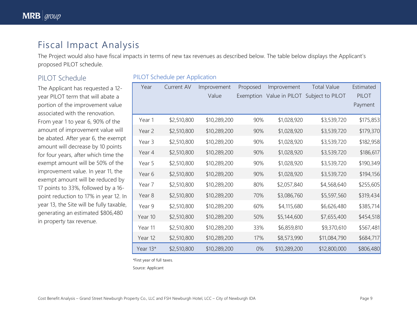# Fiscal Impact Analysis

The Project would also have fiscal impacts in terms of new tax revenues as described below. The table below displays the Applicant's proposed PILOT schedule.

## PILOT Schedule

The Applicant has requested a 12 year PILOT term that will abate a portion of the improvement value associated with the renovation. From year 1 to year 6, 90% of the amount of improvement value will be abated. After year 6, the exempt amount will decrease by 10 points for four years, after which time the exempt amount will be 50% of the improvement value. In year 11, the exempt amount will be reduced by 17 points to 33%, followed by a 16 point reduction to 17% in year 12. In year 13, the Site will be fully taxable, generating an estimated \$806,480 in property tax revenue.

#### PILOT Schedule per Application

| Year     | Current AV  | Improvement  | Proposed  | Improvement    | <b>Total Value</b> | Estimated    |
|----------|-------------|--------------|-----------|----------------|--------------------|--------------|
|          |             | Value        | Exemption | Value in PILOT | Subject to PILOT   | <b>PILOT</b> |
|          |             |              |           |                |                    | Payment      |
| Year 1   | \$2,510,800 | \$10,289,200 | 90%       | \$1,028,920    | \$3,539,720        | \$175,853    |
| Year 2   | \$2,510,800 | \$10,289,200 | 90%       | \$1,028,920    | \$3,539,720        | \$179,370    |
| Year 3   | \$2,510,800 | \$10,289,200 | 90%       | \$1,028,920    | \$3,539,720        | \$182,958    |
| Year 4   | \$2,510,800 | \$10,289,200 | 90%       | \$1,028,920    | \$3,539,720        | \$186,617    |
| Year 5   | \$2,510,800 | \$10,289,200 | 90%       | \$1,028,920    | \$3,539,720        | \$190,349    |
| Year 6   | \$2,510,800 | \$10,289,200 | 90%       | \$1,028,920    | \$3,539,720        | \$194,156    |
| Year 7   | \$2,510,800 | \$10,289,200 | 80%       | \$2,057,840    | \$4,568,640        | \$255,605    |
| Year 8   | \$2,510,800 | \$10,289,200 | 70%       | \$3,086,760    | \$5,597,560        | \$319,434    |
| Year 9   | \$2,510,800 | \$10,289,200 | 60%       | \$4,115,680    | \$6,626,480        | \$385,714    |
| Year 10  | \$2,510,800 | \$10,289,200 | 50%       | \$5,144,600    | \$7,655,400        | \$454,518    |
| Year 11  | \$2,510,800 | \$10,289,200 | 33%       | \$6,859,810    | \$9,370,610        | \$567,481    |
| Year 12  | \$2,510,800 | \$10,289,200 | 17%       | \$8,573,990    | \$11,084,790       | \$684,717    |
| Year 13* | \$2,510,800 | \$10,289,200 | $0\%$     | \$10,289,200   | \$12,800,000       | \$806,480    |

\*First year of full taxes.

Source: Applicant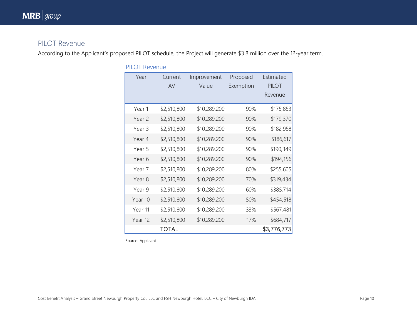# PILOT Revenue

According to the Applicant's proposed PILOT schedule, the Project will generate \$3.8 million over the 12-year term.

| Year    | Current      | Improvement  | Proposed  | Estimated    |
|---------|--------------|--------------|-----------|--------------|
|         | AV           | Value        | Exemption | <b>PILOT</b> |
|         |              |              |           | Revenue      |
| Year 1  | \$2,510,800  | \$10,289,200 | 90%       | \$175,853    |
| Year 2  | \$2,510,800  | \$10,289,200 | 90%       | \$179,370    |
| Year 3  | \$2,510,800  | \$10,289,200 | 90%       | \$182,958    |
| Year 4  | \$2,510,800  | \$10,289,200 | 90%       | \$186,617    |
| Year 5  | \$2,510,800  | \$10,289,200 | 90%       | \$190,349    |
| Year 6  | \$2,510,800  | \$10,289,200 | 90%       | \$194,156    |
| Year 7  | \$2,510,800  | \$10,289,200 | 80%       | \$255,605    |
| Year 8  | \$2,510,800  | \$10,289,200 | 70%       | \$319,434    |
| Year 9  | \$2,510,800  | \$10,289,200 | 60%       | \$385,714    |
| Year 10 | \$2,510,800  | \$10,289,200 | 50%       | \$454,518    |
| Year 11 | \$2,510,800  | \$10,289,200 | 33%       | \$567,481    |
| Year 12 | \$2,510,800  | \$10,289,200 | 17%       | \$684,717    |
|         | <b>TOTAL</b> |              |           | \$3,776,773  |

PILOT Revenue

Source: Applicant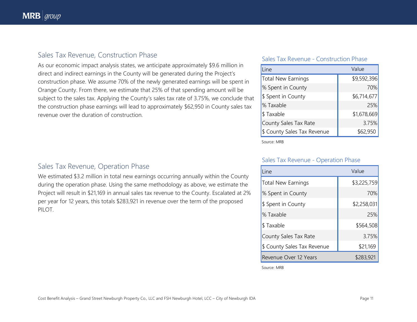### Sales Tax Revenue, Construction Phase

As our economic impact analysis states, we anticipate approximately \$9.6 million in direct and indirect earnings in the County will be generated during the Project's construction phase. We assume 70% of the newly generated earnings will be spent in Orange County. From there, we estimate that 25% of that spending amount will be subject to the sales tax. Applying the County's sales tax rate of 3.75%, we conclude that the construction phase earnings will lead to approximately \$62,950 in County sales tax revenue over the duration of construction.

#### Sales Tax Revenue - Construction Phase

| Value<br>Line                            |             |  |
|------------------------------------------|-------------|--|
| \$9,592,396<br><b>Total New Earnings</b> |             |  |
| % Spent in County                        | 70%         |  |
| \$ Spent in County                       | \$6,714,677 |  |
| % Taxable                                | 25%         |  |
| \$Taxable                                | \$1,678,669 |  |
| County Sales Tax Rate                    | 3.75%       |  |
| \$ County Sales Tax Revenue              | \$62,950    |  |

Source: MRB

### Sales Tax Revenue, Operation Phase

We estimated \$3.2 million in total new earnings occurring annually within the County during the operation phase. Using the same methodology as above, we estimate the Project will result in \$21,169 in annual sales tax revenue to the County. Escalated at 2% per year for 12 years, this totals \$283,921 in revenue over the term of the proposed PILOT.

#### Sales Tax Revenue - Operation Phase

| Line                               | Value       |  |  |
|------------------------------------|-------------|--|--|
| <b>Total New Earnings</b>          | \$3,225,759 |  |  |
| % Spent in County                  | 70%         |  |  |
| \$ Spent in County                 | \$2,258,031 |  |  |
| % Taxable                          | 25%         |  |  |
| \$Taxable                          | \$564,508   |  |  |
| County Sales Tax Rate              | 3.75%       |  |  |
| \$ County Sales Tax Revenue        | \$21,169    |  |  |
| \$283,921<br>Revenue Over 12 Years |             |  |  |

Source: MRB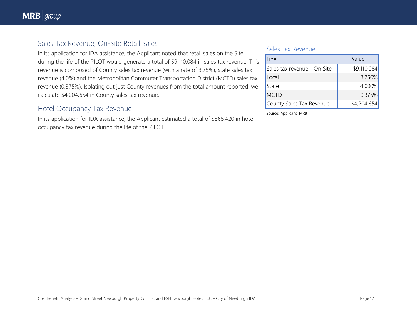### Sales Tax Revenue, On-Site Retail Sales

In its application for IDA assistance, the Applicant noted that retail sales on the Site during the life of the PILOT would generate a total of \$9,110,084 in sales tax revenue. This revenue is composed of County sales tax revenue (with a rate of 3.75%), state sales tax revenue (4.0%) and the Metropolitan Commuter Transportation District (MCTD) sales tax revenue (0.375%). Isolating out just County revenues from the total amount reported, we calculate \$4,204,654 in County sales tax revenue.

### Hotel Occupancy Tax Revenue

In its application for IDA assistance, the Applicant estimated a total of \$868,420 in hotel occupancy tax revenue during the life of the PILOT.

#### Sales Tax Revenue

| _ine                        | Value       |
|-----------------------------|-------------|
| Sales tax revenue - On Site | \$9,110,084 |
| Local                       | 3.750%      |
| State                       | 4.000%      |
| <b>MCTD</b>                 | 0.375%      |
| County Sales Tax Revenue    | \$4,204,654 |

Source: Applicant, MRB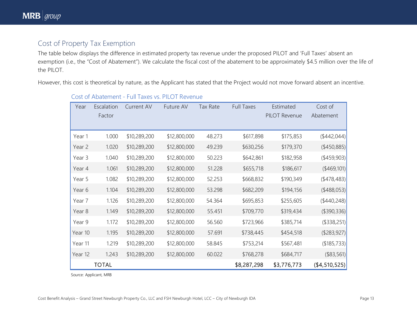# Cost of Property Tax Exemption

The table below displays the difference in estimated property tax revenue under the proposed PILOT and 'Full Taxes' absent an exemption (i.e., the "Cost of Abatement"). We calculate the fiscal cost of the abatement to be approximately \$4.5 million over the life of the PILOT.

However, this cost is theoretical by nature, as the Applicant has stated that the Project would not move forward absent an incentive.

| Year    | Escalation<br>Factor | <b>Current AV</b> | Future AV    | Tax Rate | <b>Full Taxes</b> | Estimated<br><b>PILOT Revenue</b> | Cost of<br>Abatement |
|---------|----------------------|-------------------|--------------|----------|-------------------|-----------------------------------|----------------------|
| Year 1  | 1.000                | \$10,289,200      | \$12,800,000 | 48.273   | \$617,898         | \$175,853                         | $(*442,044)$         |
| Year 2  | 1.020                | \$10,289,200      | \$12,800,000 | 49.239   | \$630,256         | \$179,370                         | $(*450,885)$         |
| Year 3  | 1.040                | \$10,289,200      | \$12,800,000 | 50.223   | \$642,861         | \$182,958                         | ( \$459, 903)        |
| Year 4  | 1.061                | \$10,289,200      | \$12,800,000 | 51.228   | \$655,718         | \$186,617                         | (\$469,101)          |
| Year 5  | 1.082                | \$10,289,200      | \$12,800,000 | 52.253   | \$668,832         | \$190,349                         | (478, 483)           |
| Year 6  | 1.104                | \$10,289,200      | \$12,800,000 | 53.298   | \$682,209         | \$194,156                         | $(*488,053)$         |
| Year 7  | 1.126                | \$10,289,200      | \$12,800,000 | 54.364   | \$695,853         | \$255,605                         | $(*440,248)$         |
| Year 8  | 1.149                | \$10,289,200      | \$12,800,000 | 55.451   | \$709,770         | \$319,434                         | (\$390,336)          |
| Year 9  | 1.172                | \$10,289,200      | \$12,800,000 | 56.560   | \$723,966         | \$385,714                         | (\$338,251)          |
| Year 10 | 1.195                | \$10,289,200      | \$12,800,000 | 57.691   | \$738,445         | \$454,518                         | ( \$283, 927)        |
| Year 11 | 1.219                | \$10,289,200      | \$12,800,000 | 58.845   | \$753,214         | \$567,481                         | (\$185,733)          |
| Year 12 | 1.243                | \$10,289,200      | \$12,800,000 | 60.022   | \$768,278         | \$684,717                         | (\$83,561)           |
|         | <b>TOTAL</b>         |                   |              |          | \$8,287,298       | \$3,776,773                       | (4, 510, 525)        |

#### Cost of Abatement - Full Taxes vs. PILOT Revenue

Source: Applicant, MRB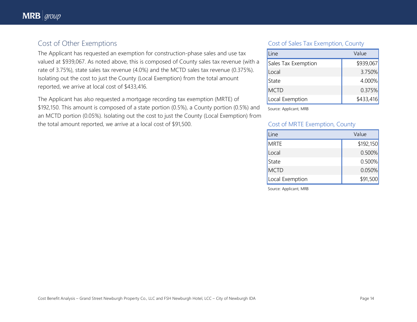# Cost of Other Exemptions

The Applicant has requested an exemption for construction-phase sales and use tax valued at \$939,067. As noted above, this is composed of County sales tax revenue (with a rate of 3.75%), state sales tax revenue (4.0%) and the MCTD sales tax revenue (0.375%). Isolating out the cost to just the County (Local Exemption) from the total amount reported, we arrive at local cost of \$433,416.

The Applicant has also requested a mortgage recording tax exemption (MRTE) of \$192,150. This amount is composed of a state portion (0.5%), a County portion (0.5%) and an MCTD portion (0.05%). Isolating out the cost to just the County (Local Exemption) from the total amount reported, we arrive at a local cost of \$91,500.

#### Cost of Sales Tax Exemption, County

| _ine                | Value     |  |
|---------------------|-----------|--|
| Sales Tax Exemption | \$939,067 |  |
| Local               | 3.750%    |  |
| State               | 4.000%    |  |
| <b>MCTD</b>         | 0.375%    |  |
| Local Exemption     | \$433,416 |  |

Source: Applicant, MRB

#### Cost of MRTE Exemption, County

| Line            | Value     |  |
|-----------------|-----------|--|
| <b>MRTE</b>     | \$192,150 |  |
| Local           | 0.500%    |  |
| State           | 0.500%    |  |
| <b>MCTD</b>     | 0.050%    |  |
| Local Exemption | \$91,500  |  |

Source: Applicant, MRB